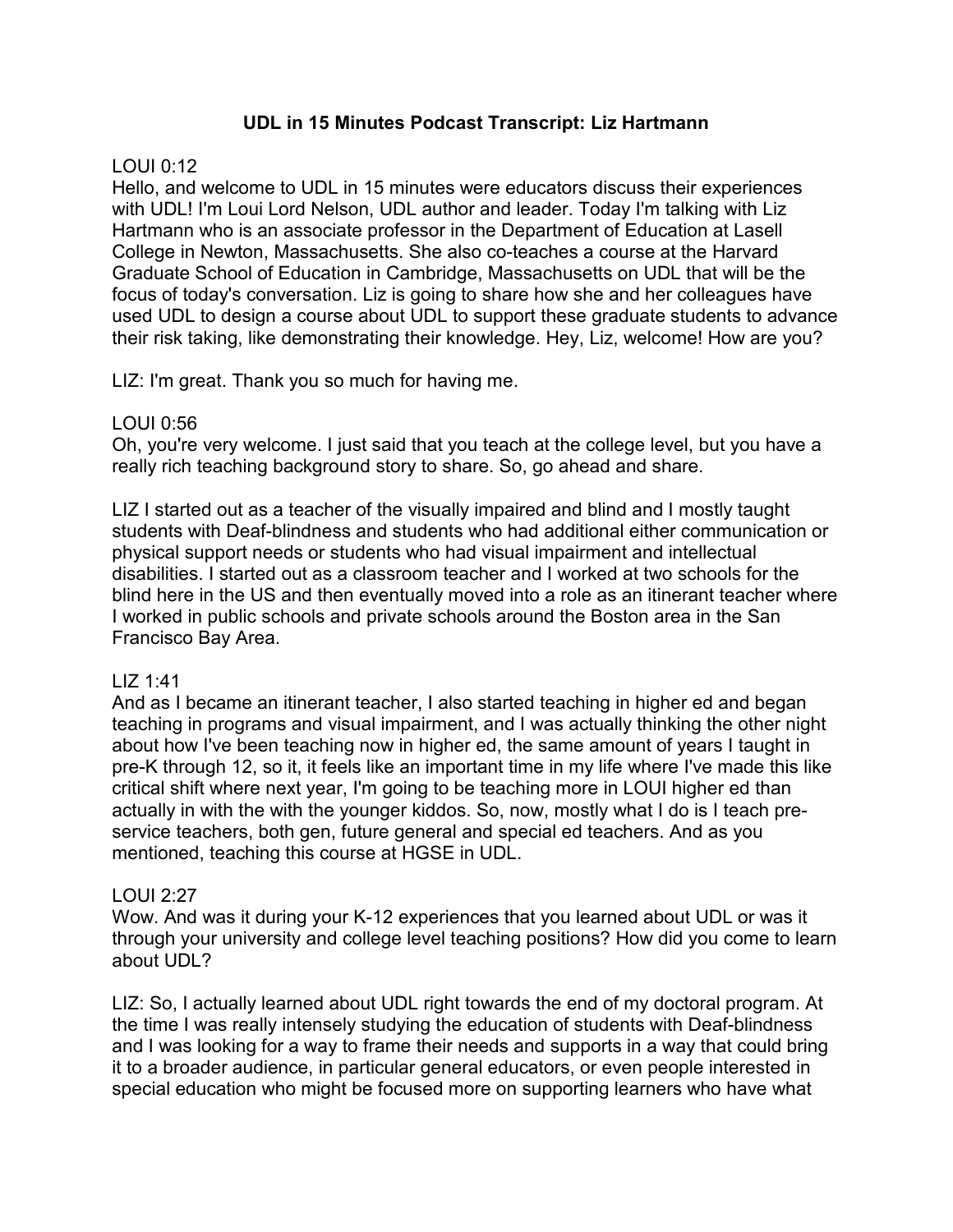### **UDL in 15 Minutes Podcast Transcript: Liz Hartmann**

### LOUI 0:12

Hello, and welcome to UDL in 15 minutes were educators discuss their experiences with UDL! I'm Loui Lord Nelson, UDL author and leader. Today I'm talking with Liz Hartmann who is an associate professor in the Department of Education at Lasell College in Newton, Massachusetts. She also co-teaches a course at the Harvard Graduate School of Education in Cambridge, Massachusetts on UDL that will be the focus of today's conversation. Liz is going to share how she and her colleagues have used UDL to design a course about UDL to support these graduate students to advance their risk taking, like demonstrating their knowledge. Hey, Liz, welcome! How are you?

LIZ: I'm great. Thank you so much for having me.

### LOUI 0:56

Oh, you're very welcome. I just said that you teach at the college level, but you have a really rich teaching background story to share. So, go ahead and share.

LIZ I started out as a teacher of the visually impaired and blind and I mostly taught students with Deaf-blindness and students who had additional either communication or physical support needs or students who had visual impairment and intellectual disabilities. I started out as a classroom teacher and I worked at two schools for the blind here in the US and then eventually moved into a role as an itinerant teacher where I worked in public schools and private schools around the Boston area in the San Francisco Bay Area.

### LIZ 1:41

And as I became an itinerant teacher, I also started teaching in higher ed and began teaching in programs and visual impairment, and I was actually thinking the other night about how I've been teaching now in higher ed, the same amount of years I taught in pre-K through 12, so it, it feels like an important time in my life where I've made this like critical shift where next year, I'm going to be teaching more in LOUI higher ed than actually in with the with the younger kiddos. So, now, mostly what I do is I teach preservice teachers, both gen, future general and special ed teachers. And as you mentioned, teaching this course at HGSE in UDL.

# $LOU12.27$

Wow. And was it during your K-12 experiences that you learned about UDL or was it through your university and college level teaching positions? How did you come to learn about UDL?

LIZ: So, I actually learned about UDL right towards the end of my doctoral program. At the time I was really intensely studying the education of students with Deaf-blindness and I was looking for a way to frame their needs and supports in a way that could bring it to a broader audience, in particular general educators, or even people interested in special education who might be focused more on supporting learners who have what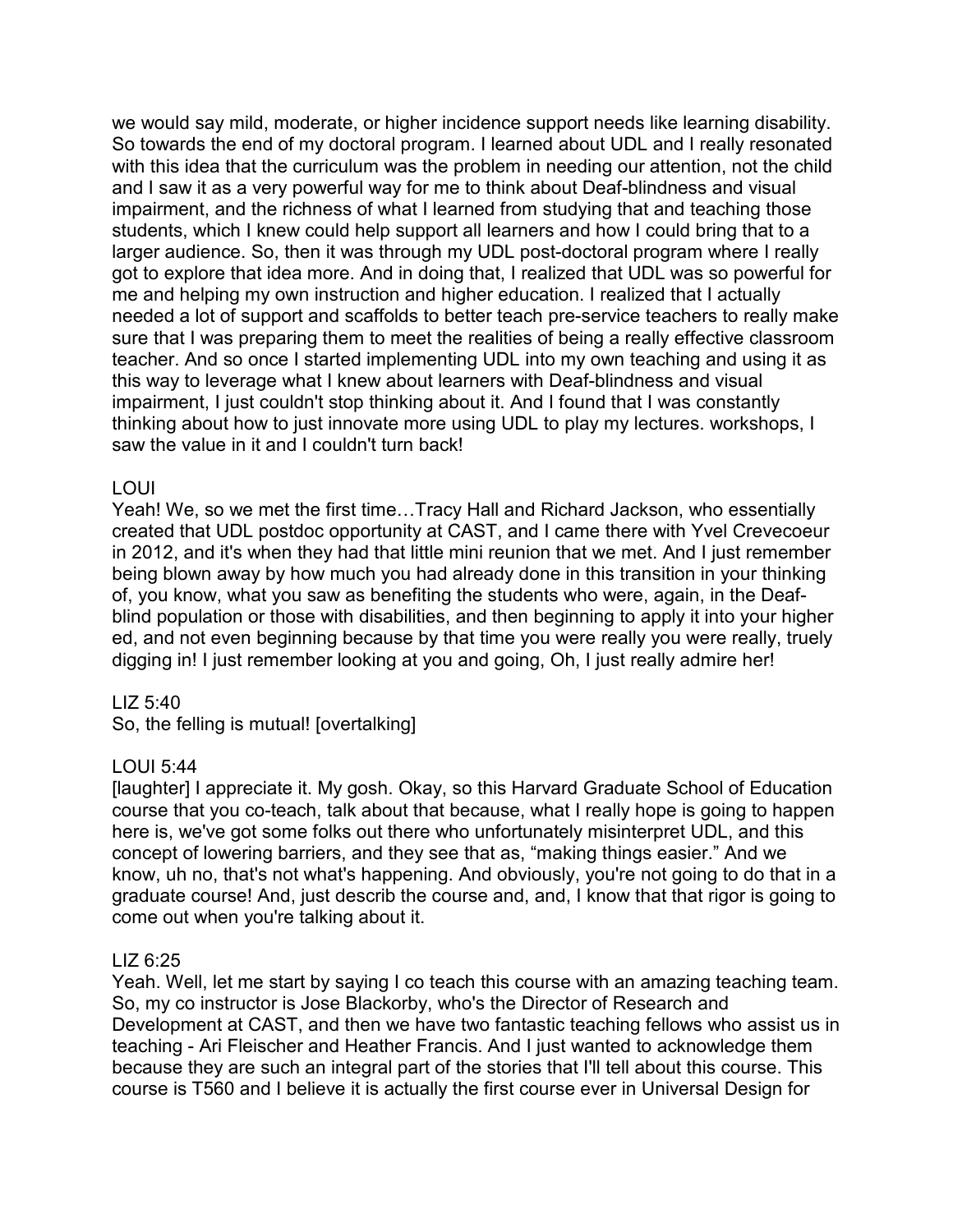we would say mild, moderate, or higher incidence support needs like learning disability. So towards the end of my doctoral program. I learned about UDL and I really resonated with this idea that the curriculum was the problem in needing our attention, not the child and I saw it as a very powerful way for me to think about Deaf-blindness and visual impairment, and the richness of what I learned from studying that and teaching those students, which I knew could help support all learners and how I could bring that to a larger audience. So, then it was through my UDL post-doctoral program where I really got to explore that idea more. And in doing that, I realized that UDL was so powerful for me and helping my own instruction and higher education. I realized that I actually needed a lot of support and scaffolds to better teach pre-service teachers to really make sure that I was preparing them to meet the realities of being a really effective classroom teacher. And so once I started implementing UDL into my own teaching and using it as this way to leverage what I knew about learners with Deaf-blindness and visual impairment, I just couldn't stop thinking about it. And I found that I was constantly thinking about how to just innovate more using UDL to play my lectures. workshops, I saw the value in it and I couldn't turn back!

### LOUI

Yeah! We, so we met the first time…Tracy Hall and Richard Jackson, who essentially created that UDL postdoc opportunity at CAST, and I came there with Yvel Crevecoeur in 2012, and it's when they had that little mini reunion that we met. And I just remember being blown away by how much you had already done in this transition in your thinking of, you know, what you saw as benefiting the students who were, again, in the Deafblind population or those with disabilities, and then beginning to apply it into your higher ed, and not even beginning because by that time you were really you were really, truely digging in! I just remember looking at you and going, Oh, I just really admire her!

### LIZ 5:40

So, the felling is mutual! [overtalking]

### LOUI 5:44

[laughter] I appreciate it. My gosh. Okay, so this Harvard Graduate School of Education course that you co-teach, talk about that because, what I really hope is going to happen here is, we've got some folks out there who unfortunately misinterpret UDL, and this concept of lowering barriers, and they see that as, "making things easier." And we know, uh no, that's not what's happening. And obviously, you're not going to do that in a graduate course! And, just describ the course and, and, I know that that rigor is going to come out when you're talking about it.

#### LIZ 6:25

Yeah. Well, let me start by saying I co teach this course with an amazing teaching team. So, my co instructor is Jose Blackorby, who's the Director of Research and Development at CAST, and then we have two fantastic teaching fellows who assist us in teaching - Ari Fleischer and Heather Francis. And I just wanted to acknowledge them because they are such an integral part of the stories that I'll tell about this course. This course is T560 and I believe it is actually the first course ever in Universal Design for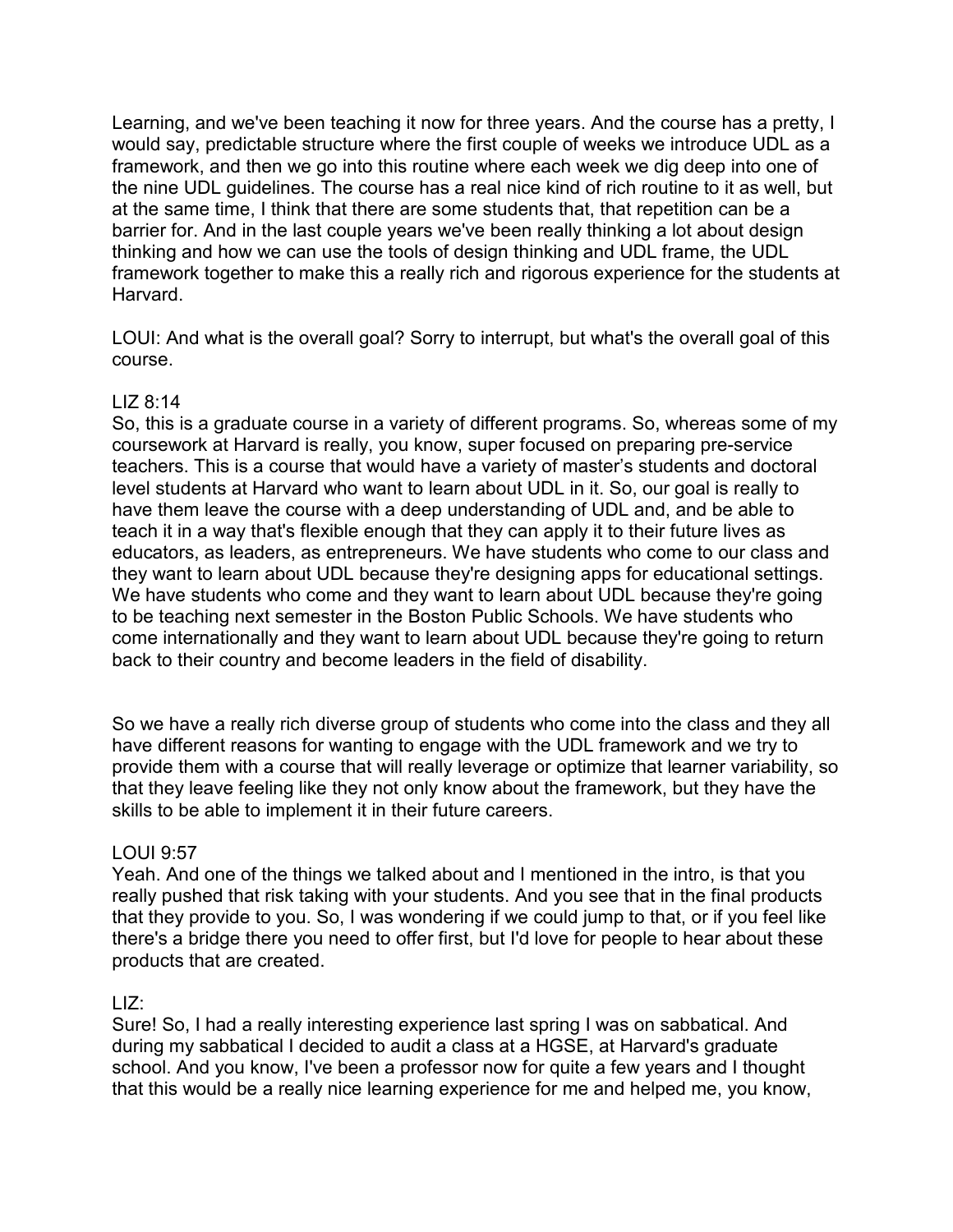Learning, and we've been teaching it now for three years. And the course has a pretty, I would say, predictable structure where the first couple of weeks we introduce UDL as a framework, and then we go into this routine where each week we dig deep into one of the nine UDL guidelines. The course has a real nice kind of rich routine to it as well, but at the same time, I think that there are some students that, that repetition can be a barrier for. And in the last couple years we've been really thinking a lot about design thinking and how we can use the tools of design thinking and UDL frame, the UDL framework together to make this a really rich and rigorous experience for the students at Harvard.

LOUI: And what is the overall goal? Sorry to interrupt, but what's the overall goal of this course.

# LIZ 8:14

So, this is a graduate course in a variety of different programs. So, whereas some of my coursework at Harvard is really, you know, super focused on preparing pre-service teachers. This is a course that would have a variety of master's students and doctoral level students at Harvard who want to learn about UDL in it. So, our goal is really to have them leave the course with a deep understanding of UDL and, and be able to teach it in a way that's flexible enough that they can apply it to their future lives as educators, as leaders, as entrepreneurs. We have students who come to our class and they want to learn about UDL because they're designing apps for educational settings. We have students who come and they want to learn about UDL because they're going to be teaching next semester in the Boston Public Schools. We have students who come internationally and they want to learn about UDL because they're going to return back to their country and become leaders in the field of disability.

So we have a really rich diverse group of students who come into the class and they all have different reasons for wanting to engage with the UDL framework and we try to provide them with a course that will really leverage or optimize that learner variability, so that they leave feeling like they not only know about the framework, but they have the skills to be able to implement it in their future careers.

### LOUI 9:57

Yeah. And one of the things we talked about and I mentioned in the intro, is that you really pushed that risk taking with your students. And you see that in the final products that they provide to you. So, I was wondering if we could jump to that, or if you feel like there's a bridge there you need to offer first, but I'd love for people to hear about these products that are created.

### $LIZ$

Sure! So, I had a really interesting experience last spring I was on sabbatical. And during my sabbatical I decided to audit a class at a HGSE, at Harvard's graduate school. And you know, I've been a professor now for quite a few years and I thought that this would be a really nice learning experience for me and helped me, you know,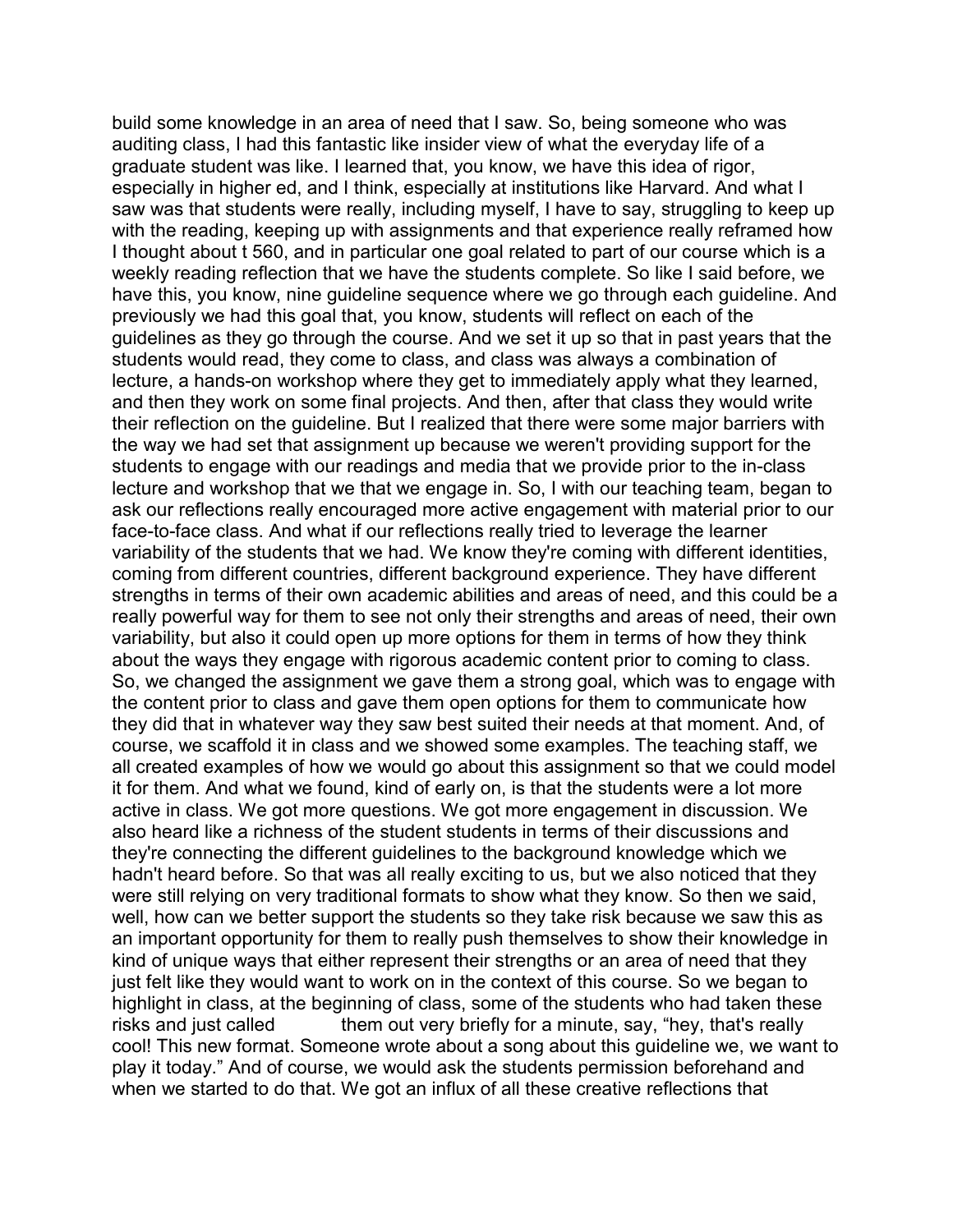build some knowledge in an area of need that I saw. So, being someone who was auditing class, I had this fantastic like insider view of what the everyday life of a graduate student was like. I learned that, you know, we have this idea of rigor, especially in higher ed, and I think, especially at institutions like Harvard. And what I saw was that students were really, including myself, I have to say, struggling to keep up with the reading, keeping up with assignments and that experience really reframed how I thought about t 560, and in particular one goal related to part of our course which is a weekly reading reflection that we have the students complete. So like I said before, we have this, you know, nine guideline sequence where we go through each guideline. And previously we had this goal that, you know, students will reflect on each of the guidelines as they go through the course. And we set it up so that in past years that the students would read, they come to class, and class was always a combination of lecture, a hands-on workshop where they get to immediately apply what they learned, and then they work on some final projects. And then, after that class they would write their reflection on the guideline. But I realized that there were some major barriers with the way we had set that assignment up because we weren't providing support for the students to engage with our readings and media that we provide prior to the in-class lecture and workshop that we that we engage in. So, I with our teaching team, began to ask our reflections really encouraged more active engagement with material prior to our face-to-face class. And what if our reflections really tried to leverage the learner variability of the students that we had. We know they're coming with different identities, coming from different countries, different background experience. They have different strengths in terms of their own academic abilities and areas of need, and this could be a really powerful way for them to see not only their strengths and areas of need, their own variability, but also it could open up more options for them in terms of how they think about the ways they engage with rigorous academic content prior to coming to class. So, we changed the assignment we gave them a strong goal, which was to engage with the content prior to class and gave them open options for them to communicate how they did that in whatever way they saw best suited their needs at that moment. And, of course, we scaffold it in class and we showed some examples. The teaching staff, we all created examples of how we would go about this assignment so that we could model it for them. And what we found, kind of early on, is that the students were a lot more active in class. We got more questions. We got more engagement in discussion. We also heard like a richness of the student students in terms of their discussions and they're connecting the different guidelines to the background knowledge which we hadn't heard before. So that was all really exciting to us, but we also noticed that they were still relying on very traditional formats to show what they know. So then we said, well, how can we better support the students so they take risk because we saw this as an important opportunity for them to really push themselves to show their knowledge in kind of unique ways that either represent their strengths or an area of need that they just felt like they would want to work on in the context of this course. So we began to highlight in class, at the beginning of class, some of the students who had taken these risks and just called them out very briefly for a minute, say, "hey, that's really cool! This new format. Someone wrote about a song about this guideline we, we want to play it today." And of course, we would ask the students permission beforehand and when we started to do that. We got an influx of all these creative reflections that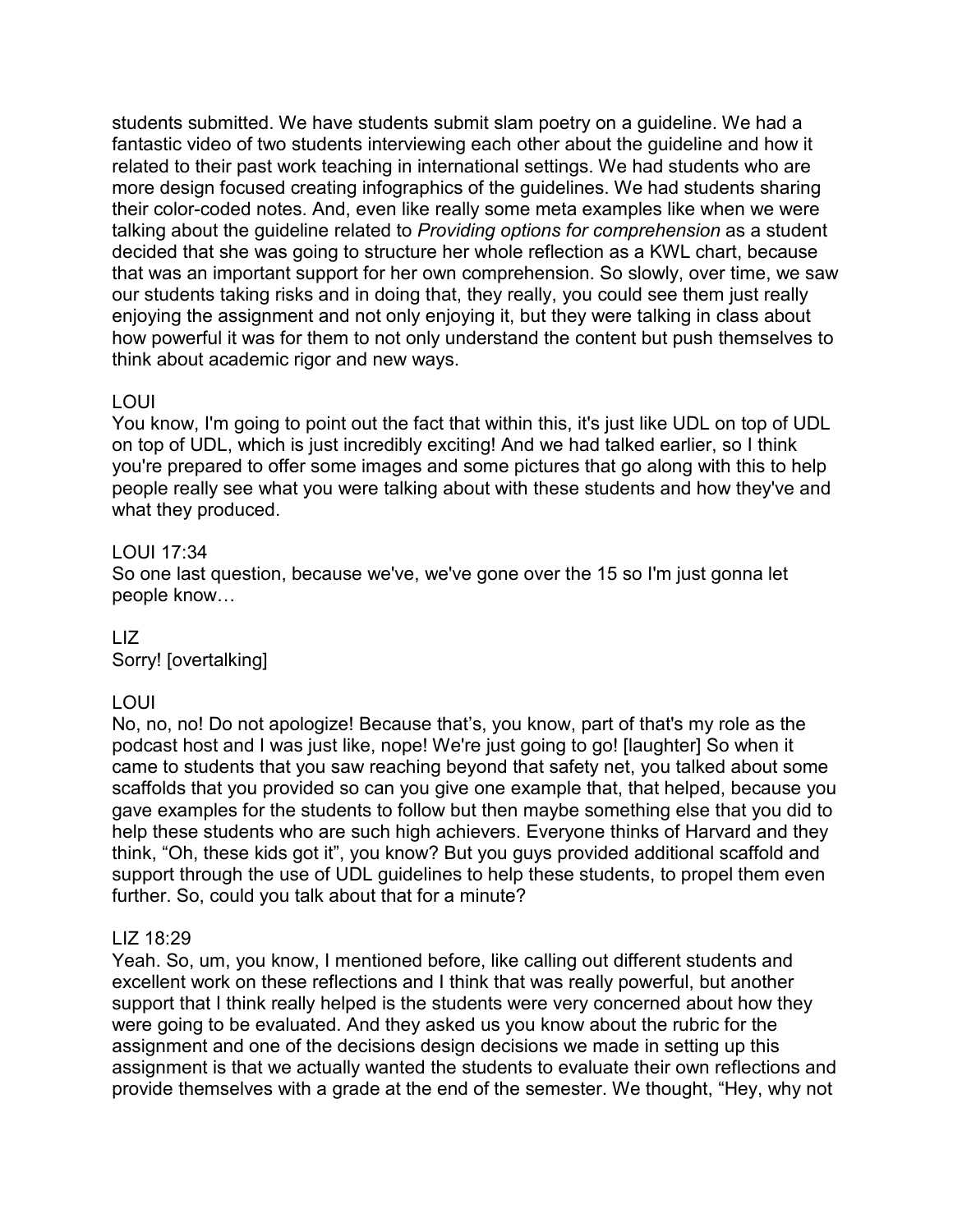students submitted. We have students submit slam poetry on a guideline. We had a fantastic video of two students interviewing each other about the guideline and how it related to their past work teaching in international settings. We had students who are more design focused creating infographics of the guidelines. We had students sharing their color-coded notes. And, even like really some meta examples like when we were talking about the guideline related to *Providing options for comprehension* as a student decided that she was going to structure her whole reflection as a KWL chart, because that was an important support for her own comprehension. So slowly, over time, we saw our students taking risks and in doing that, they really, you could see them just really enjoying the assignment and not only enjoying it, but they were talking in class about how powerful it was for them to not only understand the content but push themselves to think about academic rigor and new ways.

# LOUI

You know, I'm going to point out the fact that within this, it's just like UDL on top of UDL on top of UDL, which is just incredibly exciting! And we had talked earlier, so I think you're prepared to offer some images and some pictures that go along with this to help people really see what you were talking about with these students and how they've and what they produced.

# LOUI 17:34

So one last question, because we've, we've gone over the 15 so I'm just gonna let people know…

### LIZ Sorry! [overtalking]

# LOUI

No, no, no! Do not apologize! Because that's, you know, part of that's my role as the podcast host and I was just like, nope! We're just going to go! [laughter] So when it came to students that you saw reaching beyond that safety net, you talked about some scaffolds that you provided so can you give one example that, that helped, because you gave examples for the students to follow but then maybe something else that you did to help these students who are such high achievers. Everyone thinks of Harvard and they think, "Oh, these kids got it", you know? But you guys provided additional scaffold and support through the use of UDL guidelines to help these students, to propel them even further. So, could you talk about that for a minute?

# LIZ 18:29

Yeah. So, um, you know, I mentioned before, like calling out different students and excellent work on these reflections and I think that was really powerful, but another support that I think really helped is the students were very concerned about how they were going to be evaluated. And they asked us you know about the rubric for the assignment and one of the decisions design decisions we made in setting up this assignment is that we actually wanted the students to evaluate their own reflections and provide themselves with a grade at the end of the semester. We thought, "Hey, why not